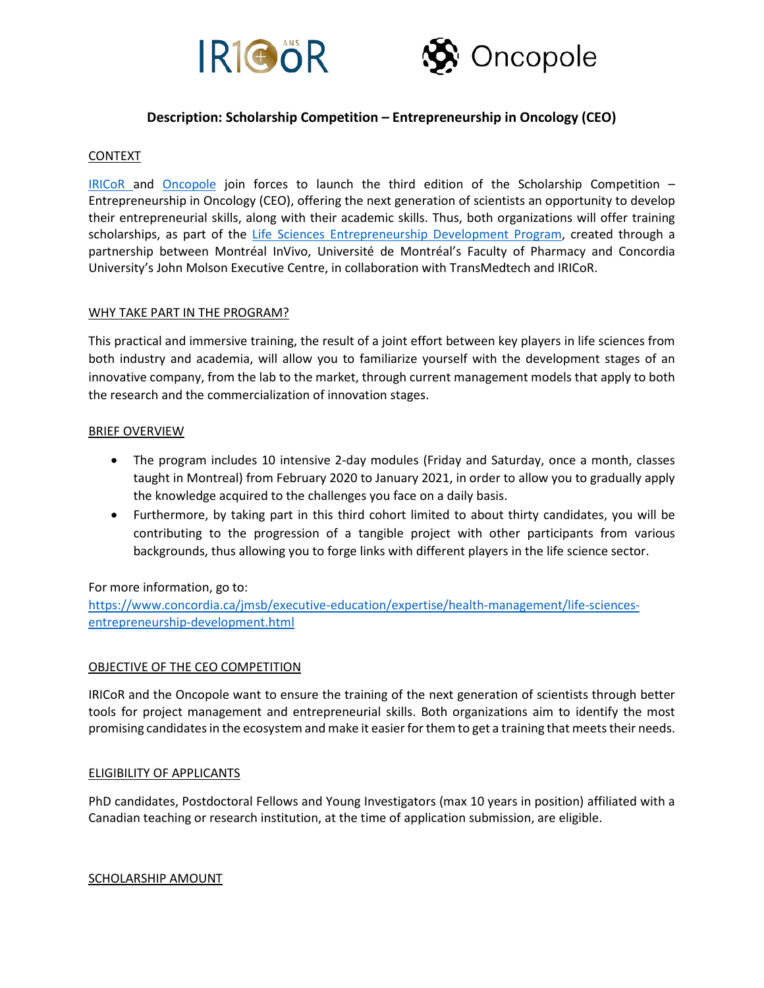



# **Description: Scholarship Competition – Entrepreneurship in Oncology (CEO)**

### **CONTEXT**

[IRICoR](https://www.iricor.ca/) and [Oncopole](https://oncopole.ca/?lang=en) join forces to launch the third edition of the Scholarship Competition – Entrepreneurship in Oncology (CEO), offering the next generation of scientists an opportunity to develop their entrepreneurial skills, along with their academic skills. Thus, both organizations will offer training scholarships, as part of the [Life Sciences Entrepreneurship Development Program,](https://www.concordia.ca/jmsb/executive-education/expertise/health-management/life-sciences-entrepreneurship-development.html) created through a partnership between Montréal InVivo, Université de Montréal's Faculty of Pharmacy and Concordia University's John Molson Executive Centre, in collaboration with TransMedtech and IRICoR.

#### WHY TAKE PART IN THE PROGRAM?

This practical and immersive training, the result of a joint effort between key players in life sciences from both industry and academia, will allow you to familiarize yourself with the development stages of an innovative company, from the lab to the market, through current management models that apply to both the research and the commercialization of innovation stages.

### BRIEF OVERVIEW

- The program includes 10 intensive 2-day modules (Friday and Saturday, once a month, classes taught in Montreal) from February 2020 to January 2021, in order to allow you to gradually apply the knowledge acquired to the challenges you face on a daily basis.
- Furthermore, by taking part in this third cohort limited to about thirty candidates, you will be contributing to the progression of a tangible project with other participants from various backgrounds, thus allowing you to forge links with different players in the life science sector.

# For more information, go to:

[https://www.concordia.ca/jmsb/executive-education/expertise/health-management/life-sciences](https://www.concordia.ca/jmsb/executive-education/expertise/health-management/life-sciences-entrepreneurship-development.html)[entrepreneurship-development.html](https://www.concordia.ca/jmsb/executive-education/expertise/health-management/life-sciences-entrepreneurship-development.html)

#### OBJECTIVE OF THE CEO COMPETITION

IRICoR and the Oncopole want to ensure the training of the next generation of scientists through better tools for project management and entrepreneurial skills. Both organizations aim to identify the most promising candidates in the ecosystem and make it easier for them to get a training that meets their needs.

#### ELIGIBILITY OF APPLICANTS

PhD candidates, Postdoctoral Fellows and Young Investigators (max 10 years in position) affiliated with a Canadian teaching or research institution, at the time of application submission, are eligible.

SCHOLARSHIP AMOUNT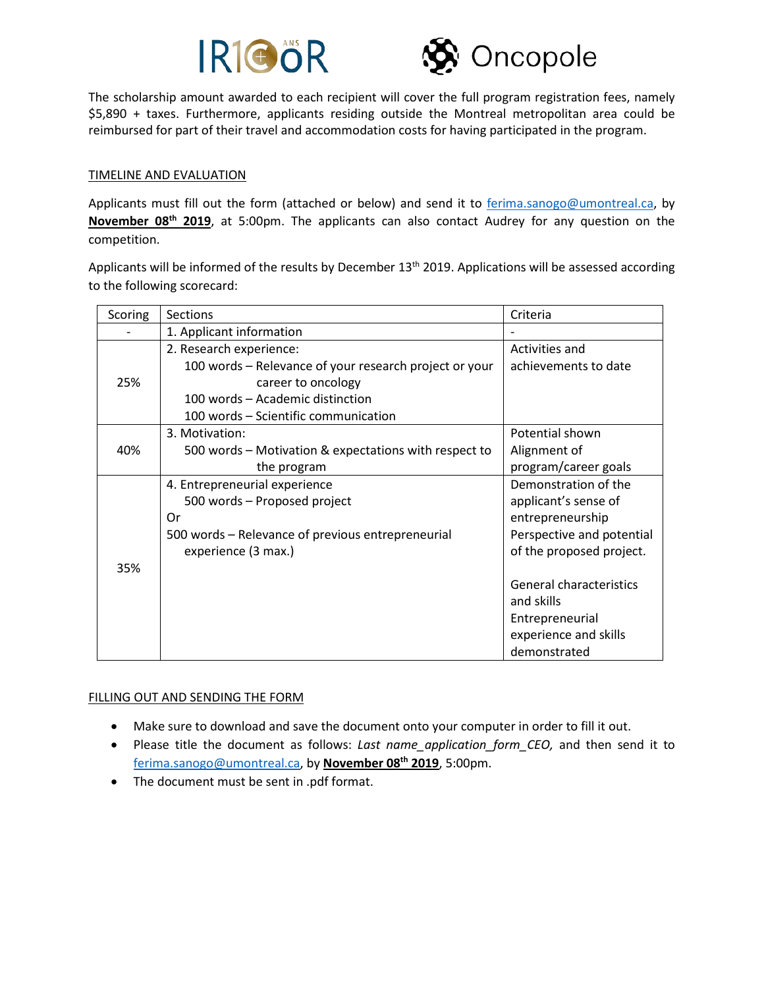



The scholarship amount awarded to each recipient will cover the full program registration fees, namely \$5,890 + taxes. Furthermore, applicants residing outside the Montreal metropolitan area could be reimbursed for part of their travel and accommodation costs for having participated in the program.

## TIMELINE AND EVALUATION

Applicants must fill out the form (attached or below) and send it to [ferima.sanogo@umontreal.ca,](mailto:ferima.sanogo@umontreal.ca) by **November 08th 2019**, at 5:00pm. The applicants can also contact Audrey for any question on the competition.

Applicants will be informed of the results by December 13<sup>th</sup> 2019. Applications will be assessed according to the following scorecard:

| Scoring | Sections                                               | Criteria                  |
|---------|--------------------------------------------------------|---------------------------|
|         | 1. Applicant information                               |                           |
|         | 2. Research experience:                                | Activities and            |
|         | 100 words – Relevance of your research project or your | achievements to date      |
| 25%     | career to oncology                                     |                           |
|         | 100 words - Academic distinction                       |                           |
|         | 100 words - Scientific communication                   |                           |
| 40%     | 3. Motivation:                                         | Potential shown           |
|         | 500 words - Motivation & expectations with respect to  | Alignment of              |
|         | the program                                            | program/career goals      |
|         | 4. Entrepreneurial experience                          | Demonstration of the      |
|         | 500 words - Proposed project                           | applicant's sense of      |
|         | Or                                                     | entrepreneurship          |
|         | 500 words - Relevance of previous entrepreneurial      | Perspective and potential |
|         | experience (3 max.)                                    | of the proposed project.  |
| 35%     |                                                        |                           |
|         |                                                        | General characteristics   |
|         |                                                        | and skills                |
|         |                                                        | Entrepreneurial           |
|         |                                                        | experience and skills     |
|         |                                                        | demonstrated              |

#### FILLING OUT AND SENDING THE FORM

- Make sure to download and save the document onto your computer in order to fill it out.
- Please title the document as follows: *Last name\_application\_form\_CEO,* and then send it to [ferima.sanogo@umontreal.ca,](mailto:ferima.sanogo@umontreal.ca) by **November 08th 2019**, 5:00pm.
- The document must be sent in .pdf format.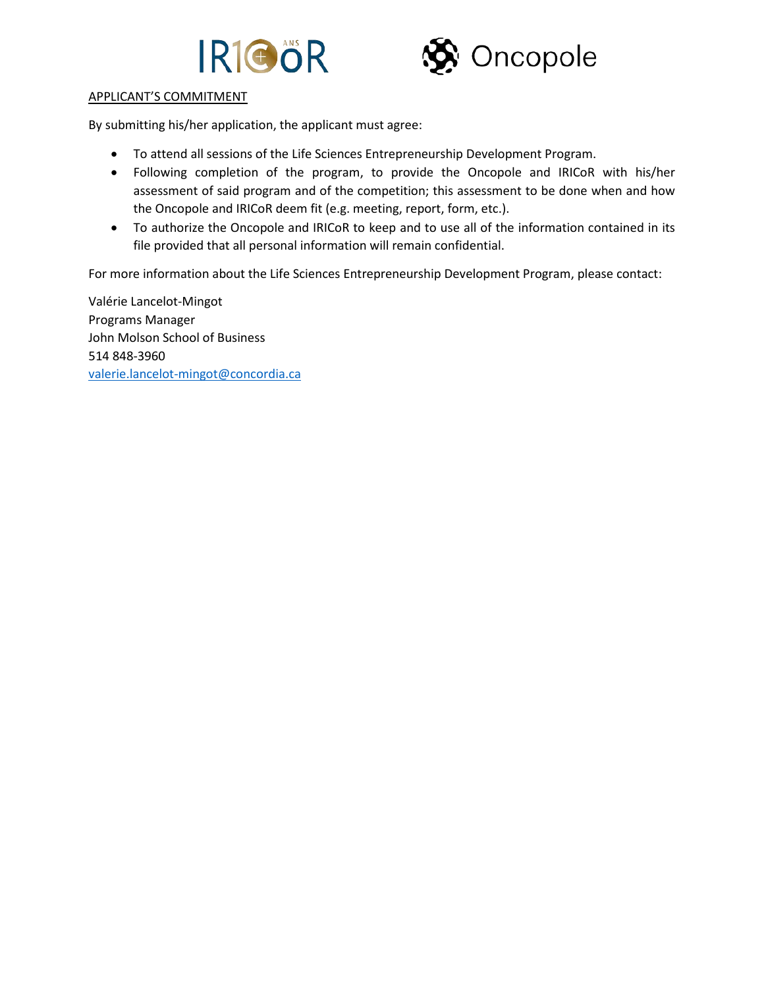



### APPLICANT'S COMMITMENT

By submitting his/her application, the applicant must agree:

- To attend all sessions of the Life Sciences Entrepreneurship Development Program.
- Following completion of the program, to provide the Oncopole and IRICoR with his/her assessment of said program and of the competition; this assessment to be done when and how the Oncopole and IRICoR deem fit (e.g. meeting, report, form, etc.).
- To authorize the Oncopole and IRICoR to keep and to use all of the information contained in its file provided that all personal information will remain confidential.

For more information about the Life Sciences Entrepreneurship Development Program, please contact:

Valérie Lancelot-Mingot Programs Manager John Molson School of Business 514 848-3960 [valerie.lancelot-mingot@concordia.ca](mailto:valerie.lancelot-mingot@concordia.ca)